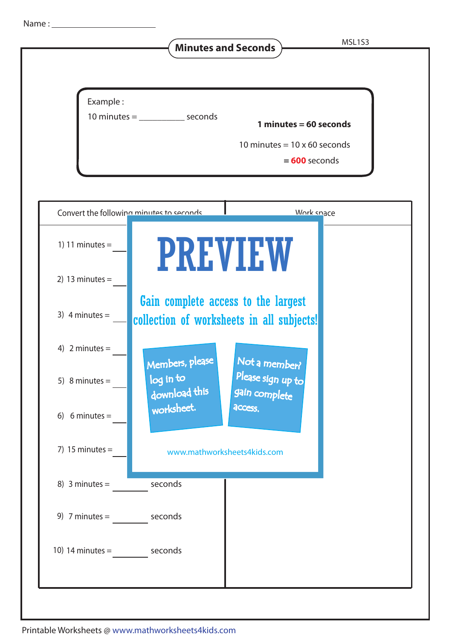